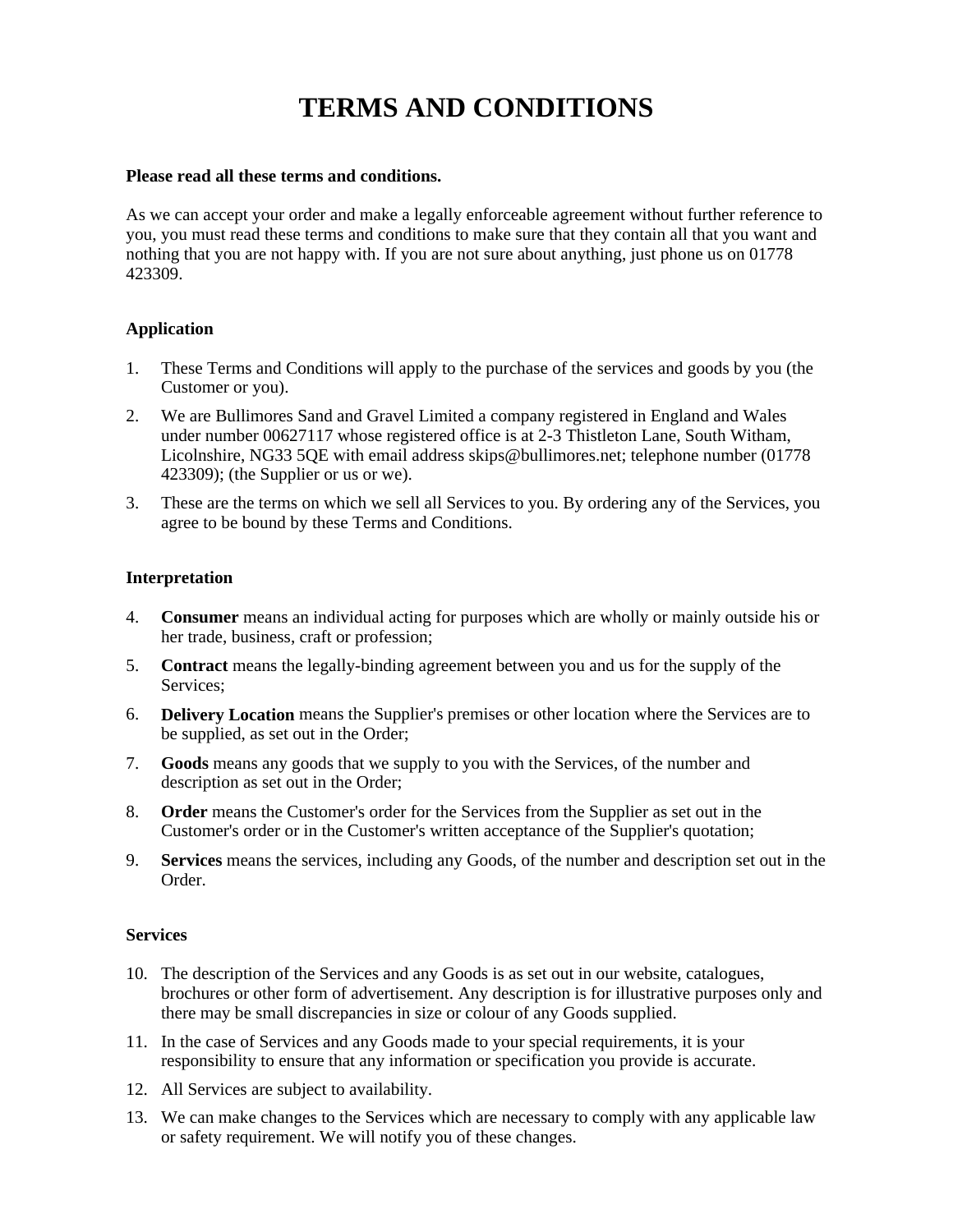# **TERMS AND CONDITIONS**

# **Please read all these terms and conditions.**

As we can accept your order and make a legally enforceable agreement without further reference to you, you must read these terms and conditions to make sure that they contain all that you want and nothing that you are not happy with. If you are not sure about anything, just phone us on 01778 423309.

# **Application**

- 1. These Terms and Conditions will apply to the purchase of the services and goods by you (the Customer or you).
- 2. We are Bullimores Sand and Gravel Limited a company registered in England and Wales under number 00627117 whose registered office is at 2-3 Thistleton Lane, South Witham, Licolnshire, NG33 5QE with email address skips@bullimores.net; telephone number (01778 423309); (the Supplier or us or we).
- 3. These are the terms on which we sell all Services to you. By ordering any of the Services, you agree to be bound by these Terms and Conditions.

## **Interpretation**

- 4. **Consumer** means an individual acting for purposes which are wholly or mainly outside his or her trade, business, craft or profession;
- 5. **Contract** means the legally-binding agreement between you and us for the supply of the Services;
- 6. **Delivery Location** means the Supplier's premises or other location where the Services are to be supplied, as set out in the Order;
- 7. **Goods** means any goods that we supply to you with the Services, of the number and description as set out in the Order;
- 8. **Order** means the Customer's order for the Services from the Supplier as set out in the Customer's order or in the Customer's written acceptance of the Supplier's quotation;
- 9. **Services** means the services, including any Goods, of the number and description set out in the Order.

## **Services**

- 10. The description of the Services and any Goods is as set out in our website, catalogues, brochures or other form of advertisement. Any description is for illustrative purposes only and there may be small discrepancies in size or colour of any Goods supplied.
- 11. In the case of Services and any Goods made to your special requirements, it is your responsibility to ensure that any information or specification you provide is accurate.
- 12. All Services are subject to availability.
- 13. We can make changes to the Services which are necessary to comply with any applicable law or safety requirement. We will notify you of these changes.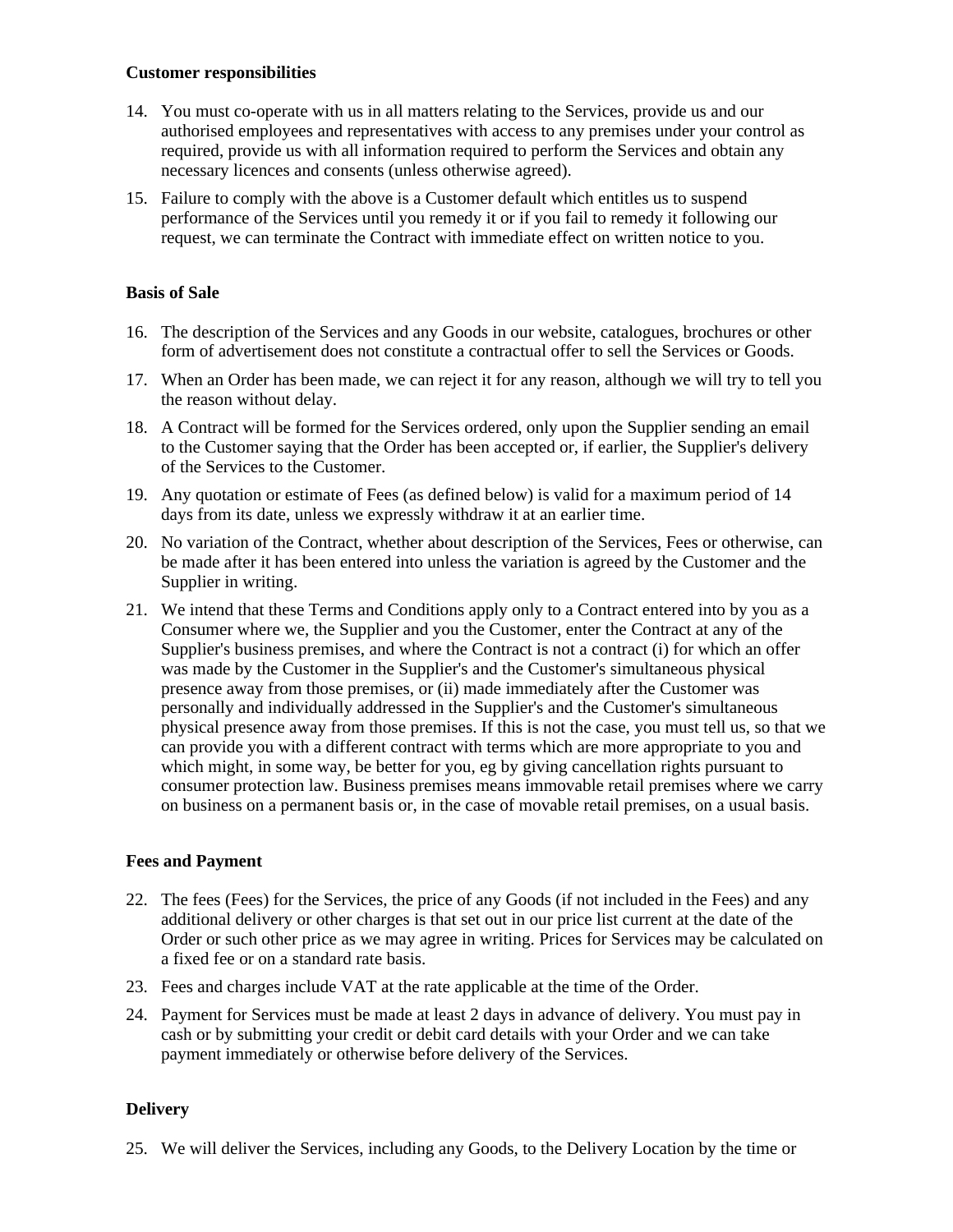## **Customer responsibilities**

- 14. You must co-operate with us in all matters relating to the Services, provide us and our authorised employees and representatives with access to any premises under your control as required, provide us with all information required to perform the Services and obtain any necessary licences and consents (unless otherwise agreed).
- 15. Failure to comply with the above is a Customer default which entitles us to suspend performance of the Services until you remedy it or if you fail to remedy it following our request, we can terminate the Contract with immediate effect on written notice to you.

# **Basis of Sale**

- 16. The description of the Services and any Goods in our website, catalogues, brochures or other form of advertisement does not constitute a contractual offer to sell the Services or Goods.
- 17. When an Order has been made, we can reject it for any reason, although we will try to tell you the reason without delay.
- 18. A Contract will be formed for the Services ordered, only upon the Supplier sending an email to the Customer saying that the Order has been accepted or, if earlier, the Supplier's delivery of the Services to the Customer.
- 19. Any quotation or estimate of Fees (as defined below) is valid for a maximum period of 14 days from its date, unless we expressly withdraw it at an earlier time.
- 20. No variation of the Contract, whether about description of the Services, Fees or otherwise, can be made after it has been entered into unless the variation is agreed by the Customer and the Supplier in writing.
- 21. We intend that these Terms and Conditions apply only to a Contract entered into by you as a Consumer where we, the Supplier and you the Customer, enter the Contract at any of the Supplier's business premises, and where the Contract is not a contract (i) for which an offer was made by the Customer in the Supplier's and the Customer's simultaneous physical presence away from those premises, or (ii) made immediately after the Customer was personally and individually addressed in the Supplier's and the Customer's simultaneous physical presence away from those premises. If this is not the case, you must tell us, so that we can provide you with a different contract with terms which are more appropriate to you and which might, in some way, be better for you, eg by giving cancellation rights pursuant to consumer protection law. Business premises means immovable retail premises where we carry on business on a permanent basis or, in the case of movable retail premises, on a usual basis.

## **Fees and Payment**

- 22. The fees (Fees) for the Services, the price of any Goods (if not included in the Fees) and any additional delivery or other charges is that set out in our price list current at the date of the Order or such other price as we may agree in writing. Prices for Services may be calculated on a fixed fee or on a standard rate basis.
- 23. Fees and charges include VAT at the rate applicable at the time of the Order.
- 24. Payment for Services must be made at least 2 days in advance of delivery. You must pay in cash or by submitting your credit or debit card details with your Order and we can take payment immediately or otherwise before delivery of the Services.

## **Delivery**

25. We will deliver the Services, including any Goods, to the Delivery Location by the time or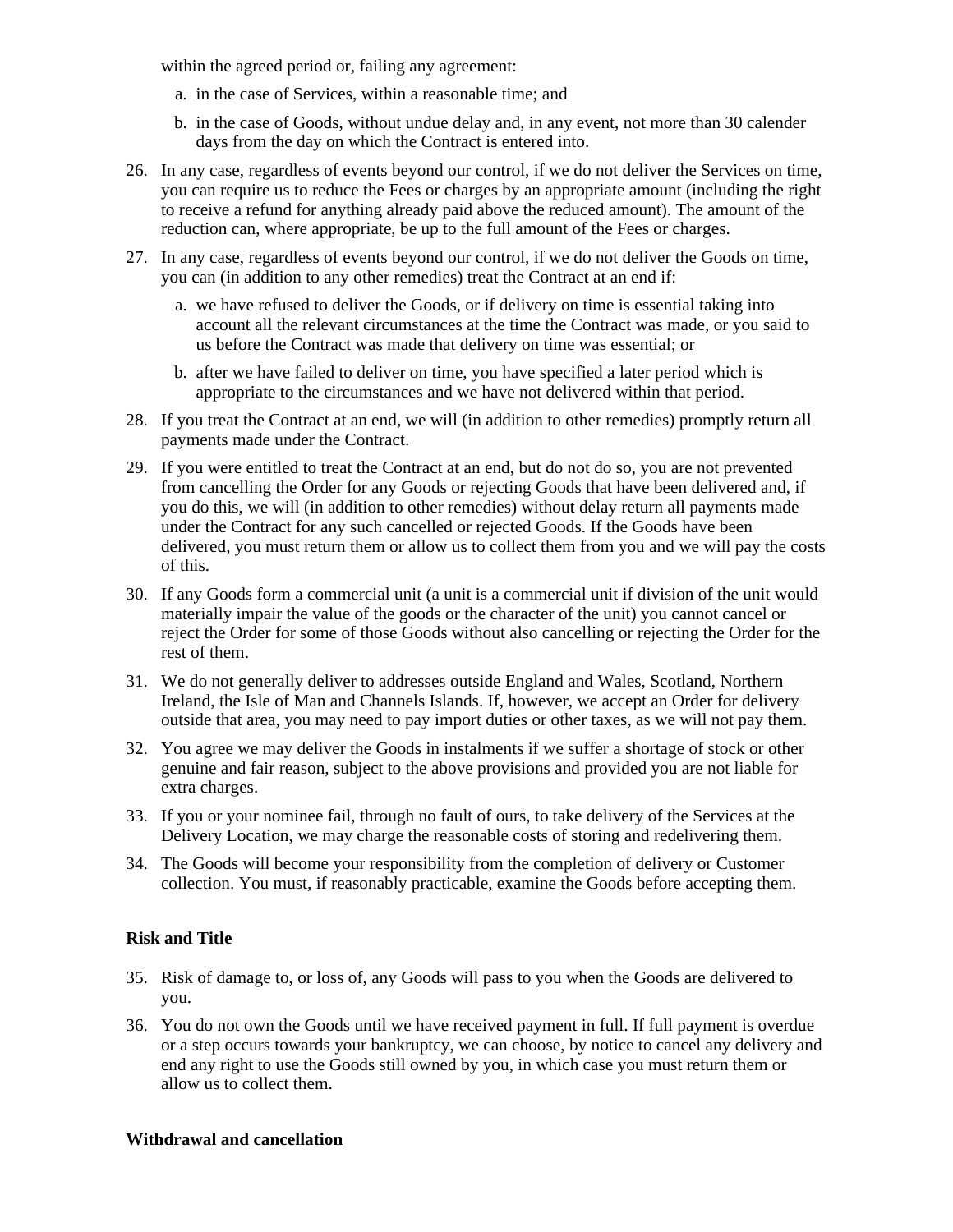within the agreed period or, failing any agreement:

- a. in the case of Services, within a reasonable time; and
- b. in the case of Goods, without undue delay and, in any event, not more than 30 calender days from the day on which the Contract is entered into.
- 26. In any case, regardless of events beyond our control, if we do not deliver the Services on time, you can require us to reduce the Fees or charges by an appropriate amount (including the right to receive a refund for anything already paid above the reduced amount). The amount of the reduction can, where appropriate, be up to the full amount of the Fees or charges.
- 27. In any case, regardless of events beyond our control, if we do not deliver the Goods on time, you can (in addition to any other remedies) treat the Contract at an end if:
	- a. we have refused to deliver the Goods, or if delivery on time is essential taking into account all the relevant circumstances at the time the Contract was made, or you said to us before the Contract was made that delivery on time was essential; or
	- b. after we have failed to deliver on time, you have specified a later period which is appropriate to the circumstances and we have not delivered within that period.
- 28. If you treat the Contract at an end, we will (in addition to other remedies) promptly return all payments made under the Contract.
- 29. If you were entitled to treat the Contract at an end, but do not do so, you are not prevented from cancelling the Order for any Goods or rejecting Goods that have been delivered and, if you do this, we will (in addition to other remedies) without delay return all payments made under the Contract for any such cancelled or rejected Goods. If the Goods have been delivered, you must return them or allow us to collect them from you and we will pay the costs of this.
- 30. If any Goods form a commercial unit (a unit is a commercial unit if division of the unit would materially impair the value of the goods or the character of the unit) you cannot cancel or reject the Order for some of those Goods without also cancelling or rejecting the Order for the rest of them.
- 31. We do not generally deliver to addresses outside England and Wales, Scotland, Northern Ireland, the Isle of Man and Channels Islands. If, however, we accept an Order for delivery outside that area, you may need to pay import duties or other taxes, as we will not pay them.
- 32. You agree we may deliver the Goods in instalments if we suffer a shortage of stock or other genuine and fair reason, subject to the above provisions and provided you are not liable for extra charges.
- 33. If you or your nominee fail, through no fault of ours, to take delivery of the Services at the Delivery Location, we may charge the reasonable costs of storing and redelivering them.
- 34. The Goods will become your responsibility from the completion of delivery or Customer collection. You must, if reasonably practicable, examine the Goods before accepting them.

## **Risk and Title**

- 35. Risk of damage to, or loss of, any Goods will pass to you when the Goods are delivered to you.
- 36. You do not own the Goods until we have received payment in full. If full payment is overdue or a step occurs towards your bankruptcy, we can choose, by notice to cancel any delivery and end any right to use the Goods still owned by you, in which case you must return them or allow us to collect them.

## **Withdrawal and cancellation**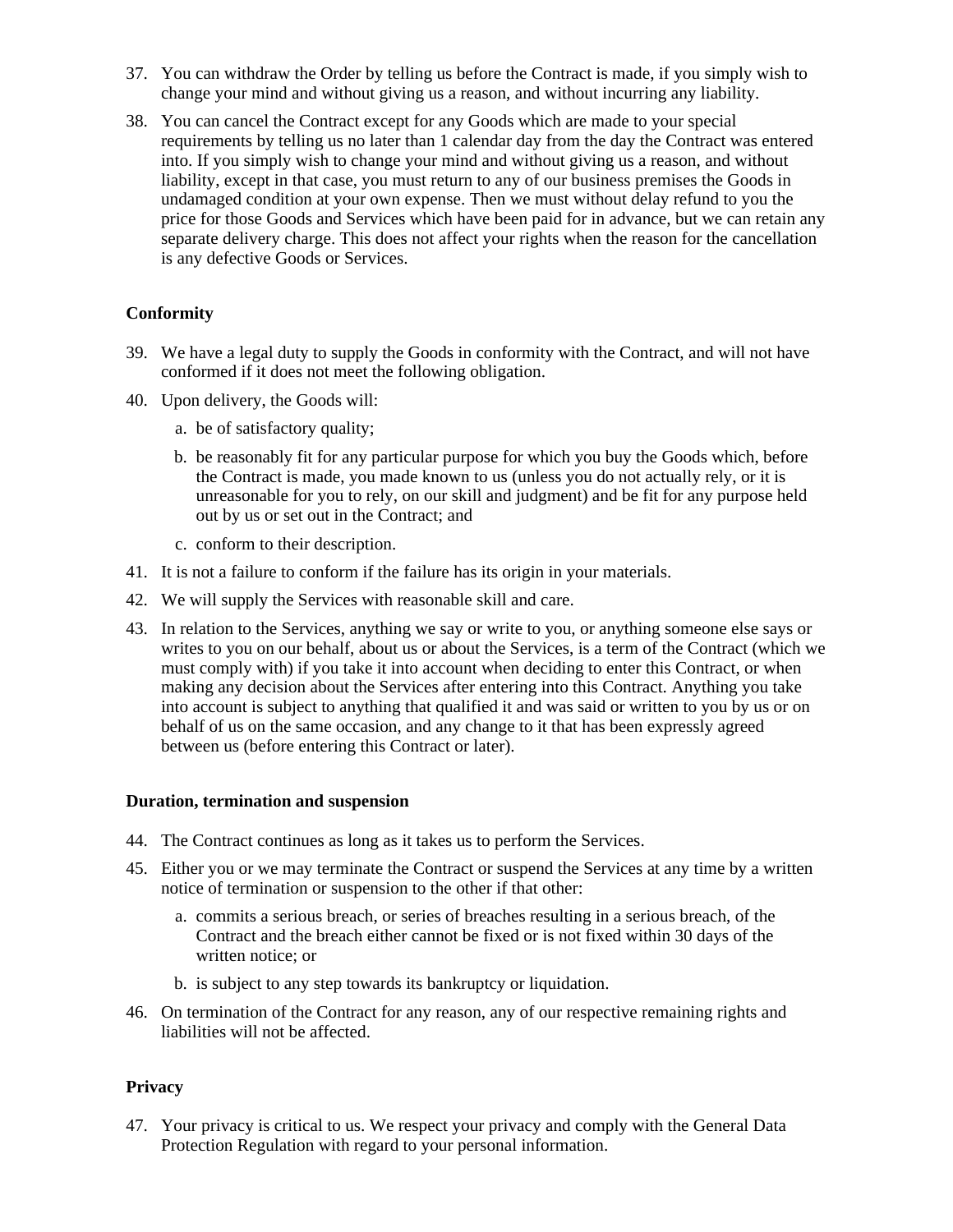- 37. You can withdraw the Order by telling us before the Contract is made, if you simply wish to change your mind and without giving us a reason, and without incurring any liability.
- 38. You can cancel the Contract except for any Goods which are made to your special requirements by telling us no later than 1 calendar day from the day the Contract was entered into. If you simply wish to change your mind and without giving us a reason, and without liability, except in that case, you must return to any of our business premises the Goods in undamaged condition at your own expense. Then we must without delay refund to you the price for those Goods and Services which have been paid for in advance, but we can retain any separate delivery charge. This does not affect your rights when the reason for the cancellation is any defective Goods or Services.

# **Conformity**

- 39. We have a legal duty to supply the Goods in conformity with the Contract, and will not have conformed if it does not meet the following obligation.
- 40. Upon delivery, the Goods will:
	- a. be of satisfactory quality;
	- b. be reasonably fit for any particular purpose for which you buy the Goods which, before the Contract is made, you made known to us (unless you do not actually rely, or it is unreasonable for you to rely, on our skill and judgment) and be fit for any purpose held out by us or set out in the Contract; and
	- c. conform to their description.
- 41. It is not a failure to conform if the failure has its origin in your materials.
- 42. We will supply the Services with reasonable skill and care.
- 43. In relation to the Services, anything we say or write to you, or anything someone else says or writes to you on our behalf, about us or about the Services, is a term of the Contract (which we must comply with) if you take it into account when deciding to enter this Contract, or when making any decision about the Services after entering into this Contract. Anything you take into account is subject to anything that qualified it and was said or written to you by us or on behalf of us on the same occasion, and any change to it that has been expressly agreed between us (before entering this Contract or later).

#### **Duration, termination and suspension**

- 44. The Contract continues as long as it takes us to perform the Services.
- 45. Either you or we may terminate the Contract or suspend the Services at any time by a written notice of termination or suspension to the other if that other:
	- a. commits a serious breach, or series of breaches resulting in a serious breach, of the Contract and the breach either cannot be fixed or is not fixed within 30 days of the written notice; or
	- b. is subject to any step towards its bankruptcy or liquidation.
- 46. On termination of the Contract for any reason, any of our respective remaining rights and liabilities will not be affected.

## **Privacy**

47. Your privacy is critical to us. We respect your privacy and comply with the General Data Protection Regulation with regard to your personal information.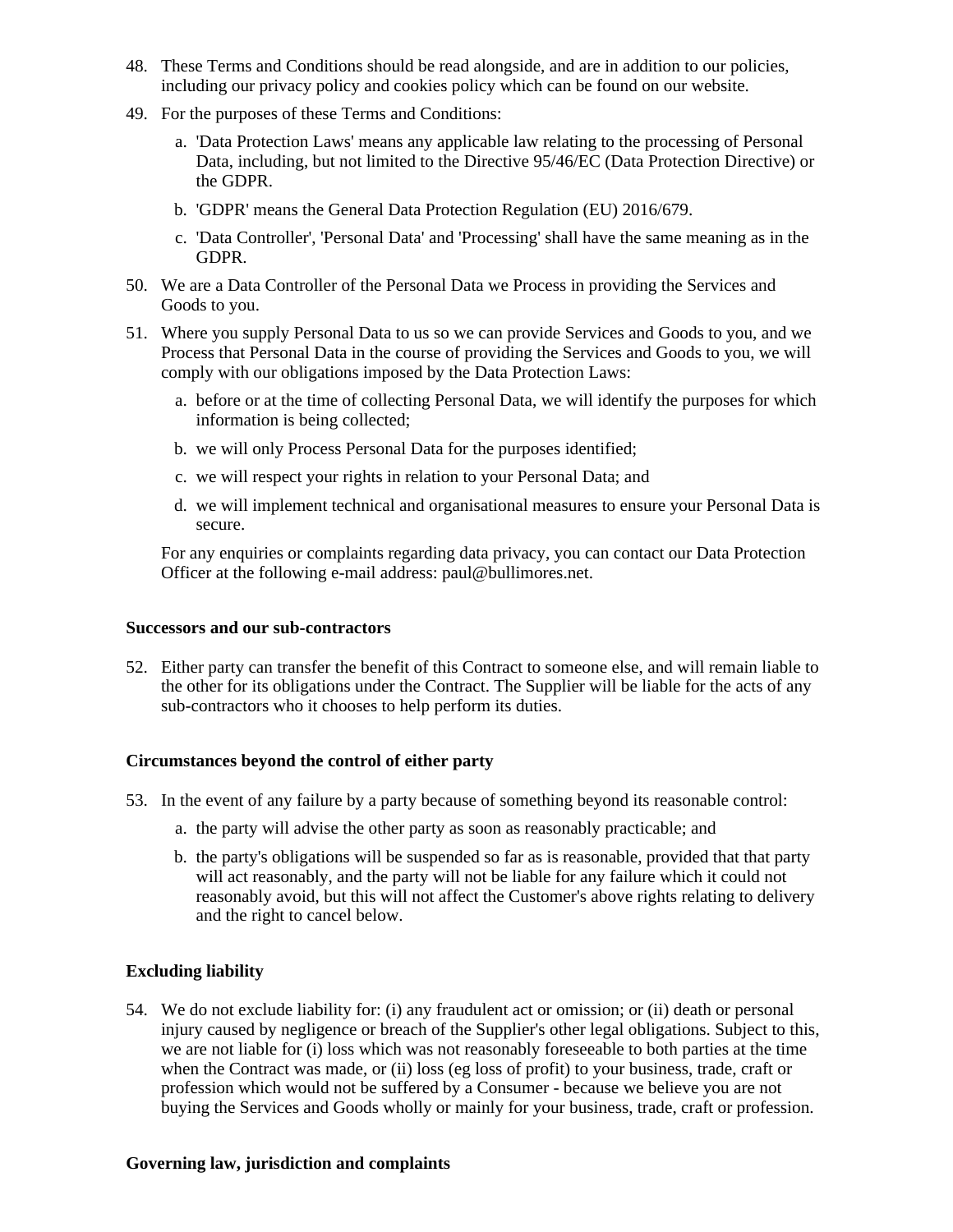- 48. These Terms and Conditions should be read alongside, and are in addition to our policies, including our privacy policy and cookies policy which can be found on our website.
- 49. For the purposes of these Terms and Conditions:
	- a. 'Data Protection Laws' means any applicable law relating to the processing of Personal Data, including, but not limited to the Directive 95/46/EC (Data Protection Directive) or the GDPR.
	- b. 'GDPR' means the General Data Protection Regulation (EU) 2016/679.
	- c. 'Data Controller', 'Personal Data' and 'Processing' shall have the same meaning as in the GDPR.
- 50. We are a Data Controller of the Personal Data we Process in providing the Services and Goods to you.
- 51. Where you supply Personal Data to us so we can provide Services and Goods to you, and we Process that Personal Data in the course of providing the Services and Goods to you, we will comply with our obligations imposed by the Data Protection Laws:
	- a. before or at the time of collecting Personal Data, we will identify the purposes for which information is being collected;
	- b. we will only Process Personal Data for the purposes identified;
	- c. we will respect your rights in relation to your Personal Data; and
	- d. we will implement technical and organisational measures to ensure your Personal Data is secure.

For any enquiries or complaints regarding data privacy, you can contact our Data Protection Officer at the following e-mail address: paul@bullimores.net.

#### **Successors and our sub-contractors**

52. Either party can transfer the benefit of this Contract to someone else, and will remain liable to the other for its obligations under the Contract. The Supplier will be liable for the acts of any sub-contractors who it chooses to help perform its duties.

## **Circumstances beyond the control of either party**

- 53. In the event of any failure by a party because of something beyond its reasonable control:
	- a. the party will advise the other party as soon as reasonably practicable; and
	- b. the party's obligations will be suspended so far as is reasonable, provided that that party will act reasonably, and the party will not be liable for any failure which it could not reasonably avoid, but this will not affect the Customer's above rights relating to delivery and the right to cancel below.

## **Excluding liability**

54. We do not exclude liability for: (i) any fraudulent act or omission; or (ii) death or personal injury caused by negligence or breach of the Supplier's other legal obligations. Subject to this, we are not liable for (i) loss which was not reasonably foreseeable to both parties at the time when the Contract was made, or (ii) loss (eg loss of profit) to your business, trade, craft or profession which would not be suffered by a Consumer - because we believe you are not buying the Services and Goods wholly or mainly for your business, trade, craft or profession.

#### **Governing law, jurisdiction and complaints**